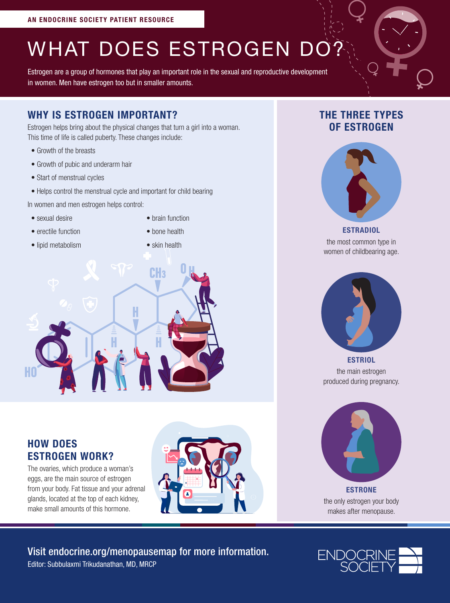# WHAT DOES ESTROGEN DO?

Estrogen are a group of hormones that play an important role in the sexual and reproductive development in women. Men have estrogen too but in smaller amounts.

#### WHY IS ESTROGEN IMPORTANT?

Estrogen helps bring about the physical changes that turn a girl into a woman. This time of life is called puberty. These changes include:

- Growth of the breasts
- Growth of pubic and underarm hair
- Start of menstrual cycles
- Helps control the menstrual cycle and important for child bearing

In women and men estrogen helps control:

- sexual desire
- erectile function
- brain function • bone health

- lipid metabolism
- skin health



## HOW DOES ESTROGEN WORK?

The ovaries, which produce a woman's eggs, are the main source of estrogen from your body. Fat tissue and your adrenal glands, located at the top of each kidney, make small amounts of this hormone.



# THE THREE TYPES OF ESTROGEN



**ESTRADIOL** the most common type in women of childbearing age.



the main estrogen produced during pregnancy.



ESTRONE the only estrogen your body makes after menopause.

#### Editor: Subbulaxmi Trikudanathan, MD, MRCP Visit endocrine.org/menopausemap for more information.